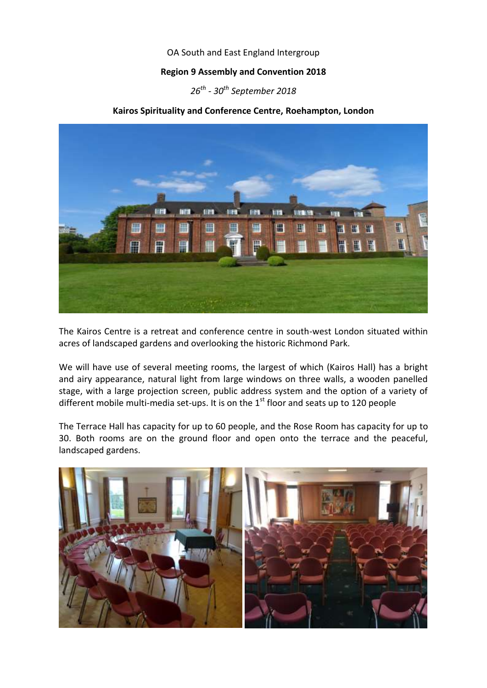## OA South and East England Intergroup

## **Region 9 Assembly and Convention 2018**

# *26th - 30th September 2018*

## **Kairos Spirituality and Conference Centre, Roehampton, London**



The Kairos Centre is a retreat and conference centre in south-west London situated within acres of landscaped gardens and overlooking the historic Richmond Park.

We will have use of several meeting rooms, the largest of which (Kairos Hall) has a bright and airy appearance, natural light from large windows on three walls, a wooden panelled stage, with a large projection screen, public address system and the option of a variety of different mobile multi-media set-ups. It is on the  $1<sup>st</sup>$  floor and seats up to 120 people

The Terrace Hall has capacity for up to 60 people, and the Rose Room has capacity for up to 30. Both rooms are on the ground floor and open onto the terrace and the peaceful, landscaped gardens.

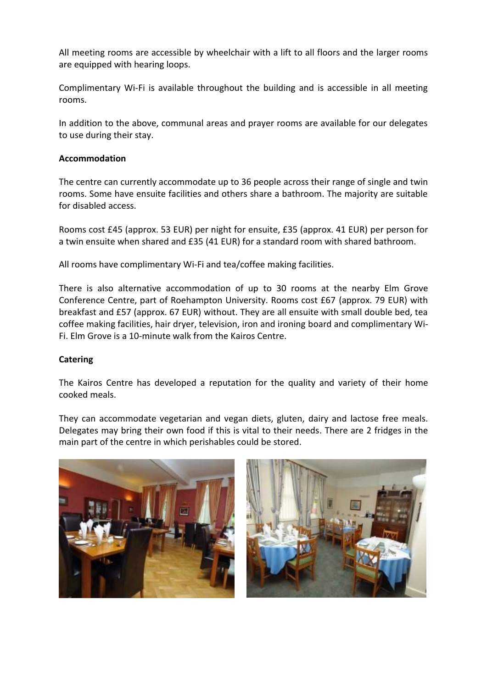All meeting rooms are accessible by wheelchair with a lift to all floors and the larger rooms are equipped with hearing loops.

Complimentary Wi-Fi is available throughout the building and is accessible in all meeting rooms.

In addition to the above, communal areas and prayer rooms are available for our delegates to use during their stay.

## **Accommodation**

The centre can currently accommodate up to 36 people across their range of single and twin rooms. Some have ensuite facilities and others share a bathroom. The majority are suitable for disabled access.

Rooms cost £45 (approx. 53 EUR) per night for ensuite, £35 (approx. 41 EUR) per person for a twin ensuite when shared and £35 (41 EUR) for a standard room with shared bathroom.

All rooms have complimentary Wi-Fi and tea/coffee making facilities.

There is also alternative accommodation of up to 30 rooms at the nearby Elm Grove Conference Centre, part of Roehampton University. Rooms cost £67 (approx. 79 EUR) with breakfast and £57 (approx. 67 EUR) without. They are all ensuite with small double bed, tea coffee making facilities, hair dryer, television, iron and ironing board and complimentary Wi-Fi. Elm Grove is a 10-minute walk from the Kairos Centre.

#### **Catering**

The Kairos Centre has developed a reputation for the quality and variety of their home cooked meals.

They can accommodate vegetarian and vegan diets, gluten, dairy and lactose free meals. Delegates may bring their own food if this is vital to their needs. There are 2 fridges in the main part of the centre in which perishables could be stored.